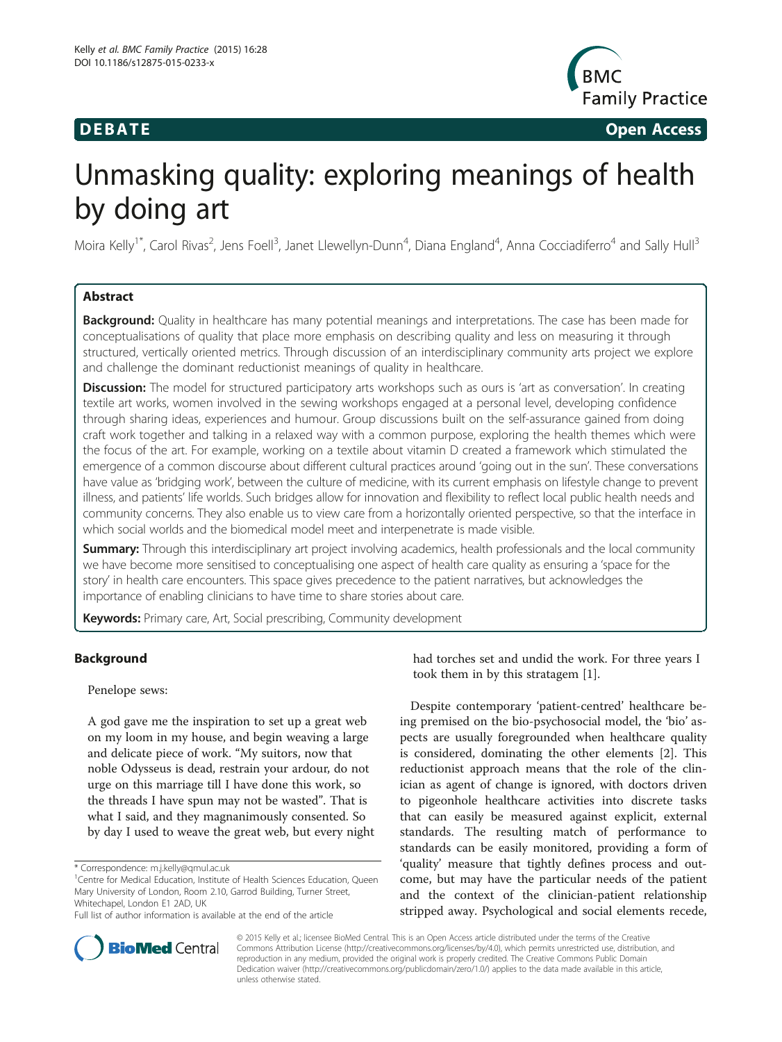

**DEBATE CONSIDERENT CONSIDERED ACCESS** 

# Unmasking quality: exploring meanings of health by doing art

Moira Kelly<sup>1\*</sup>, Carol Rivas<sup>2</sup>, Jens Foell<sup>3</sup>, Janet Llewellyn-Dunn<sup>4</sup>, Diana England<sup>4</sup>, Anna Cocciadiferro<sup>4</sup> and Sally Hull<sup>3</sup>

# Abstract

Background: Quality in healthcare has many potential meanings and interpretations. The case has been made for conceptualisations of quality that place more emphasis on describing quality and less on measuring it through structured, vertically oriented metrics. Through discussion of an interdisciplinary community arts project we explore and challenge the dominant reductionist meanings of quality in healthcare.

**Discussion:** The model for structured participatory arts workshops such as ours is 'art as conversation'. In creating textile art works, women involved in the sewing workshops engaged at a personal level, developing confidence through sharing ideas, experiences and humour. Group discussions built on the self-assurance gained from doing craft work together and talking in a relaxed way with a common purpose, exploring the health themes which were the focus of the art. For example, working on a textile about vitamin D created a framework which stimulated the emergence of a common discourse about different cultural practices around 'going out in the sun'. These conversations have value as 'bridging work', between the culture of medicine, with its current emphasis on lifestyle change to prevent illness, and patients' life worlds. Such bridges allow for innovation and flexibility to reflect local public health needs and community concerns. They also enable us to view care from a horizontally oriented perspective, so that the interface in which social worlds and the biomedical model meet and interpenetrate is made visible.

**Summary:** Through this interdisciplinary art project involving academics, health professionals and the local community we have become more sensitised to conceptualising one aspect of health care quality as ensuring a 'space for the story' in health care encounters. This space gives precedence to the patient narratives, but acknowledges the importance of enabling clinicians to have time to share stories about care.

**Keywords:** Primary care, Art, Social prescribing, Community development

# Background

### Penelope sews:

A god gave me the inspiration to set up a great web on my loom in my house, and begin weaving a large and delicate piece of work. "My suitors, now that noble Odysseus is dead, restrain your ardour, do not urge on this marriage till I have done this work, so the threads I have spun may not be wasted". That is what I said, and they magnanimously consented. So by day I used to weave the great web, but every night had torches set and undid the work. For three years I took them in by this stratagem [\[1\]](#page-5-0).

Despite contemporary 'patient-centred' healthcare being premised on the bio-psychosocial model, the 'bio' aspects are usually foregrounded when healthcare quality is considered, dominating the other elements [[2\]](#page-5-0). This reductionist approach means that the role of the clinician as agent of change is ignored, with doctors driven to pigeonhole healthcare activities into discrete tasks that can easily be measured against explicit, external standards. The resulting match of performance to standards can be easily monitored, providing a form of 'quality' measure that tightly defines process and outcome, but may have the particular needs of the patient and the context of the clinician-patient relationship stripped away. Psychological and social elements recede,



© 2015 Kelly et al.; licensee BioMed Central. This is an Open Access article distributed under the terms of the Creative Commons Attribution License [\(http://creativecommons.org/licenses/by/4.0\)](http://creativecommons.org/licenses/by/4.0), which permits unrestricted use, distribution, and reproduction in any medium, provided the original work is properly credited. The Creative Commons Public Domain Dedication waiver [\(http://creativecommons.org/publicdomain/zero/1.0/](http://creativecommons.org/publicdomain/zero/1.0/)) applies to the data made available in this article, unless otherwise stated.

<sup>\*</sup> Correspondence: [m.j.kelly@qmul.ac.uk](mailto:m.j.kelly@qmul.ac.uk) <sup>1</sup>

<sup>&</sup>lt;sup>1</sup> Centre for Medical Education, Institute of Health Sciences Education, Queen Mary University of London, Room 2.10, Garrod Building, Turner Street, Whitechapel, London E1 2AD, UK

Full list of author information is available at the end of the article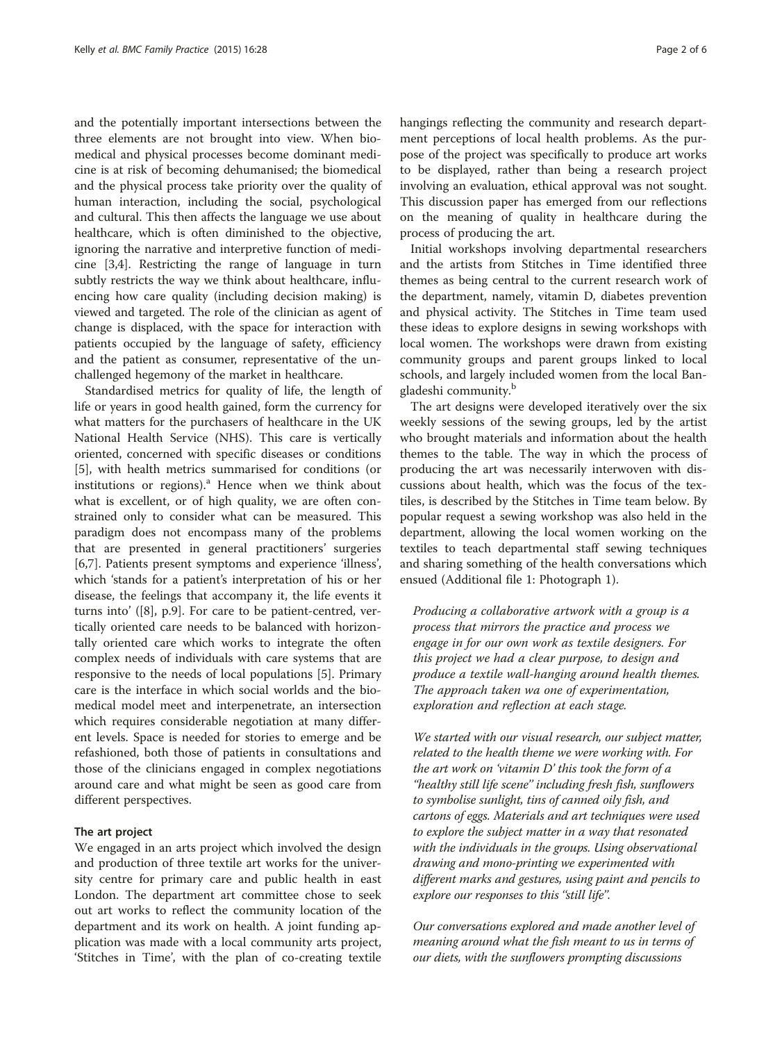and the potentially important intersections between the three elements are not brought into view. When biomedical and physical processes become dominant medicine is at risk of becoming dehumanised; the biomedical and the physical process take priority over the quality of human interaction, including the social, psychological and cultural. This then affects the language we use about healthcare, which is often diminished to the objective, ignoring the narrative and interpretive function of medicine [[3,4\]](#page-5-0). Restricting the range of language in turn subtly restricts the way we think about healthcare, influencing how care quality (including decision making) is viewed and targeted. The role of the clinician as agent of change is displaced, with the space for interaction with patients occupied by the language of safety, efficiency and the patient as consumer, representative of the unchallenged hegemony of the market in healthcare.

Standardised metrics for quality of life, the length of life or years in good health gained, form the currency for what matters for the purchasers of healthcare in the UK National Health Service (NHS). This care is vertically oriented, concerned with specific diseases or conditions [[5\]](#page-5-0), with health metrics summarised for conditions (or institutions or regions). $a$  Hence when we think about what is excellent, or of high quality, we are often constrained only to consider what can be measured. This paradigm does not encompass many of the problems that are presented in general practitioners' surgeries [[6,7\]](#page-5-0). Patients present symptoms and experience 'illness', which 'stands for a patient's interpretation of his or her disease, the feelings that accompany it, the life events it turns into' ([[8](#page-5-0)], p.9]. For care to be patient-centred, vertically oriented care needs to be balanced with horizontally oriented care which works to integrate the often complex needs of individuals with care systems that are responsive to the needs of local populations [[5\]](#page-5-0). Primary care is the interface in which social worlds and the biomedical model meet and interpenetrate, an intersection which requires considerable negotiation at many different levels. Space is needed for stories to emerge and be refashioned, both those of patients in consultations and those of the clinicians engaged in complex negotiations around care and what might be seen as good care from different perspectives.

#### The art project

We engaged in an arts project which involved the design and production of three textile art works for the university centre for primary care and public health in east London. The department art committee chose to seek out art works to reflect the community location of the department and its work on health. A joint funding application was made with a local community arts project, 'Stitches in Time', with the plan of co-creating textile hangings reflecting the community and research department perceptions of local health problems. As the purpose of the project was specifically to produce art works to be displayed, rather than being a research project involving an evaluation, ethical approval was not sought. This discussion paper has emerged from our reflections on the meaning of quality in healthcare during the process of producing the art.

Initial workshops involving departmental researchers and the artists from Stitches in Time identified three themes as being central to the current research work of the department, namely, vitamin D, diabetes prevention and physical activity. The Stitches in Time team used these ideas to explore designs in sewing workshops with local women. The workshops were drawn from existing community groups and parent groups linked to local schools, and largely included women from the local Bangladeshi community.<sup>b</sup>

The art designs were developed iteratively over the six weekly sessions of the sewing groups, led by the artist who brought materials and information about the health themes to the table. The way in which the process of producing the art was necessarily interwoven with discussions about health, which was the focus of the textiles, is described by the Stitches in Time team below. By popular request a sewing workshop was also held in the department, allowing the local women working on the textiles to teach departmental staff sewing techniques and sharing something of the health conversations which ensued (Additional file [1:](#page-4-0) Photograph 1).

Producing a collaborative artwork with a group is a process that mirrors the practice and process we engage in for our own work as textile designers. For this project we had a clear purpose, to design and produce a textile wall-hanging around health themes. The approach taken wa one of experimentation, exploration and reflection at each stage.

We started with our visual research, our subject matter, related to the health theme we were working with. For the art work on 'vitamin D' this took the form of a ''healthy still life scene'' including fresh fish, sunflowers to symbolise sunlight, tins of canned oily fish, and cartons of eggs. Materials and art techniques were used to explore the subject matter in a way that resonated with the individuals in the groups. Using observational drawing and mono-printing we experimented with different marks and gestures, using paint and pencils to explore our responses to this "still life".

Our conversations explored and made another level of meaning around what the fish meant to us in terms of our diets, with the sunflowers prompting discussions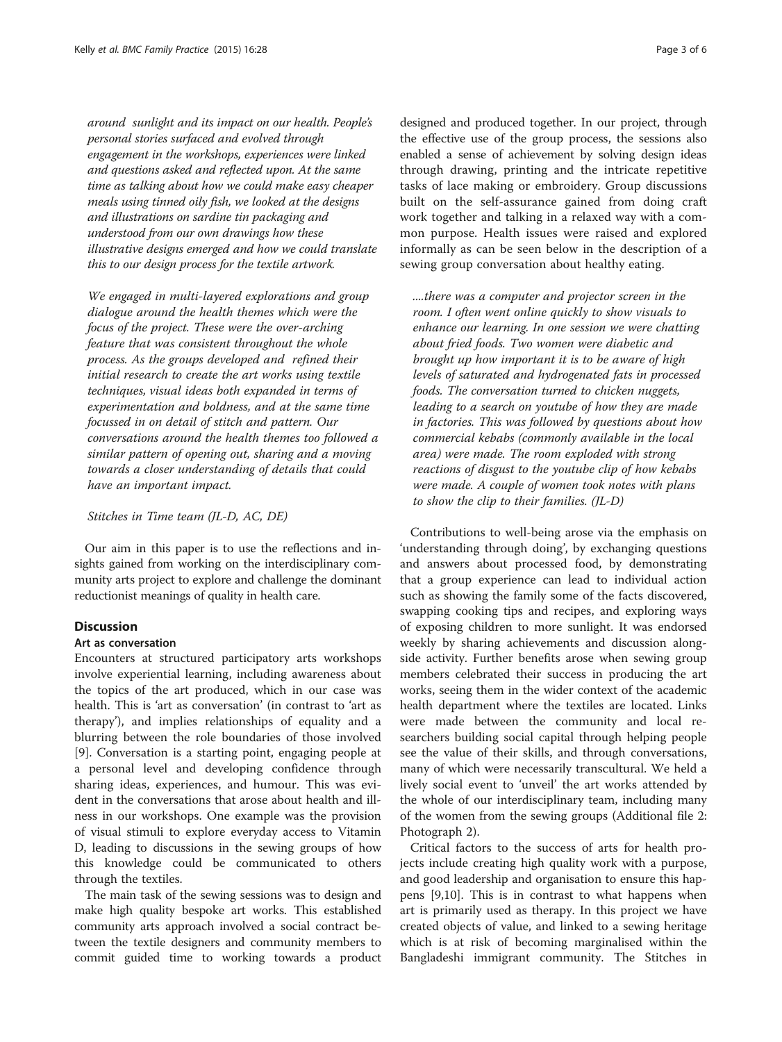around sunlight and its impact on our health. People's personal stories surfaced and evolved through engagement in the workshops, experiences were linked and questions asked and reflected upon. At the same time as talking about how we could make easy cheaper meals using tinned oily fish, we looked at the designs and illustrations on sardine tin packaging and understood from our own drawings how these illustrative designs emerged and how we could translate this to our design process for the textile artwork.

We engaged in multi-layered explorations and group dialogue around the health themes which were the focus of the project. These were the over-arching feature that was consistent throughout the whole process. As the groups developed and refined their initial research to create the art works using textile techniques, visual ideas both expanded in terms of experimentation and boldness, and at the same time focussed in on detail of stitch and pattern. Our conversations around the health themes too followed a similar pattern of opening out, sharing and a moving towards a closer understanding of details that could have an important impact.

#### Stitches in Time team (JL-D, AC, DE)

Our aim in this paper is to use the reflections and insights gained from working on the interdisciplinary community arts project to explore and challenge the dominant reductionist meanings of quality in health care.

# Discussion

#### Art as conversation

Encounters at structured participatory arts workshops involve experiential learning, including awareness about the topics of the art produced, which in our case was health. This is 'art as conversation' (in contrast to 'art as therapy'), and implies relationships of equality and a blurring between the role boundaries of those involved [[9\]](#page-5-0). Conversation is a starting point, engaging people at a personal level and developing confidence through sharing ideas, experiences, and humour. This was evident in the conversations that arose about health and illness in our workshops. One example was the provision of visual stimuli to explore everyday access to Vitamin D, leading to discussions in the sewing groups of how this knowledge could be communicated to others through the textiles.

The main task of the sewing sessions was to design and make high quality bespoke art works. This established community arts approach involved a social contract between the textile designers and community members to commit guided time to working towards a product

designed and produced together. In our project, through the effective use of the group process, the sessions also enabled a sense of achievement by solving design ideas through drawing, printing and the intricate repetitive tasks of lace making or embroidery. Group discussions built on the self-assurance gained from doing craft work together and talking in a relaxed way with a common purpose. Health issues were raised and explored informally as can be seen below in the description of a sewing group conversation about healthy eating.

....there was a computer and projector screen in the room. I often went online quickly to show visuals to enhance our learning. In one session we were chatting about fried foods. Two women were diabetic and brought up how important it is to be aware of high levels of saturated and hydrogenated fats in processed foods. The conversation turned to chicken nuggets, leading to a search on youtube of how they are made in factories. This was followed by questions about how commercial kebabs (commonly available in the local area) were made. The room exploded with strong reactions of disgust to the youtube clip of how kebabs were made. A couple of women took notes with plans to show the clip to their families. (JL-D)

Contributions to well-being arose via the emphasis on 'understanding through doing', by exchanging questions and answers about processed food, by demonstrating that a group experience can lead to individual action such as showing the family some of the facts discovered, swapping cooking tips and recipes, and exploring ways of exposing children to more sunlight. It was endorsed weekly by sharing achievements and discussion alongside activity. Further benefits arose when sewing group members celebrated their success in producing the art works, seeing them in the wider context of the academic health department where the textiles are located. Links were made between the community and local researchers building social capital through helping people see the value of their skills, and through conversations, many of which were necessarily transcultural. We held a lively social event to 'unveil' the art works attended by the whole of our interdisciplinary team, including many of the women from the sewing groups (Additional file [2](#page-4-0): Photograph 2).

Critical factors to the success of arts for health projects include creating high quality work with a purpose, and good leadership and organisation to ensure this happens [\[9,10](#page-5-0)]. This is in contrast to what happens when art is primarily used as therapy. In this project we have created objects of value, and linked to a sewing heritage which is at risk of becoming marginalised within the Bangladeshi immigrant community. The Stitches in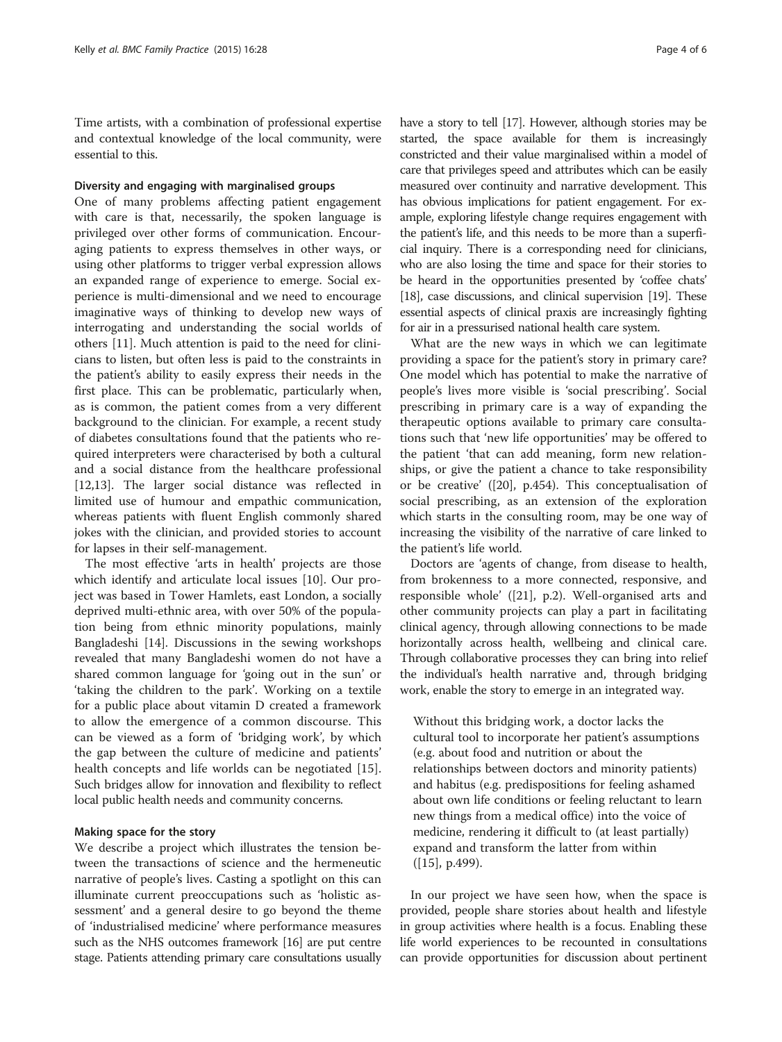Time artists, with a combination of professional expertise and contextual knowledge of the local community, were essential to this.

# Diversity and engaging with marginalised groups

One of many problems affecting patient engagement with care is that, necessarily, the spoken language is privileged over other forms of communication. Encouraging patients to express themselves in other ways, or using other platforms to trigger verbal expression allows an expanded range of experience to emerge. Social experience is multi-dimensional and we need to encourage imaginative ways of thinking to develop new ways of interrogating and understanding the social worlds of others [[11](#page-5-0)]. Much attention is paid to the need for clinicians to listen, but often less is paid to the constraints in the patient's ability to easily express their needs in the first place. This can be problematic, particularly when, as is common, the patient comes from a very different background to the clinician. For example, a recent study of diabetes consultations found that the patients who required interpreters were characterised by both a cultural and a social distance from the healthcare professional [[12,13\]](#page-5-0). The larger social distance was reflected in limited use of humour and empathic communication, whereas patients with fluent English commonly shared jokes with the clinician, and provided stories to account for lapses in their self-management.

The most effective 'arts in health' projects are those which identify and articulate local issues [[10](#page-5-0)]. Our project was based in Tower Hamlets, east London, a socially deprived multi-ethnic area, with over 50% of the population being from ethnic minority populations, mainly Bangladeshi [[14\]](#page-5-0). Discussions in the sewing workshops revealed that many Bangladeshi women do not have a shared common language for 'going out in the sun' or 'taking the children to the park'. Working on a textile for a public place about vitamin D created a framework to allow the emergence of a common discourse. This can be viewed as a form of 'bridging work', by which the gap between the culture of medicine and patients' health concepts and life worlds can be negotiated [\[15](#page-5-0)]. Such bridges allow for innovation and flexibility to reflect local public health needs and community concerns.

#### Making space for the story

We describe a project which illustrates the tension between the transactions of science and the hermeneutic narrative of people's lives. Casting a spotlight on this can illuminate current preoccupations such as 'holistic assessment' and a general desire to go beyond the theme of 'industrialised medicine' where performance measures such as the NHS outcomes framework [\[16\]](#page-5-0) are put centre stage. Patients attending primary care consultations usually have a story to tell [[17](#page-5-0)]. However, although stories may be started, the space available for them is increasingly constricted and their value marginalised within a model of care that privileges speed and attributes which can be easily measured over continuity and narrative development. This has obvious implications for patient engagement. For example, exploring lifestyle change requires engagement with the patient's life, and this needs to be more than a superficial inquiry. There is a corresponding need for clinicians, who are also losing the time and space for their stories to be heard in the opportunities presented by 'coffee chats' [[18](#page-5-0)], case discussions, and clinical supervision [[19](#page-5-0)]. These essential aspects of clinical praxis are increasingly fighting for air in a pressurised national health care system.

What are the new ways in which we can legitimate providing a space for the patient's story in primary care? One model which has potential to make the narrative of people's lives more visible is 'social prescribing'. Social prescribing in primary care is a way of expanding the therapeutic options available to primary care consultations such that 'new life opportunities' may be offered to the patient 'that can add meaning, form new relationships, or give the patient a chance to take responsibility or be creative' ([\[20\]](#page-5-0), p.454). This conceptualisation of social prescribing, as an extension of the exploration which starts in the consulting room, may be one way of increasing the visibility of the narrative of care linked to the patient's life world.

Doctors are 'agents of change, from disease to health, from brokenness to a more connected, responsive, and responsible whole' ([\[21](#page-5-0)], p.2). Well-organised arts and other community projects can play a part in facilitating clinical agency, through allowing connections to be made horizontally across health, wellbeing and clinical care. Through collaborative processes they can bring into relief the individual's health narrative and, through bridging work, enable the story to emerge in an integrated way.

Without this bridging work, a doctor lacks the cultural tool to incorporate her patient's assumptions (e.g. about food and nutrition or about the relationships between doctors and minority patients) and habitus (e.g. predispositions for feeling ashamed about own life conditions or feeling reluctant to learn new things from a medical office) into the voice of medicine, rendering it difficult to (at least partially) expand and transform the latter from within ([\[15](#page-5-0)], p.499).

In our project we have seen how, when the space is provided, people share stories about health and lifestyle in group activities where health is a focus. Enabling these life world experiences to be recounted in consultations can provide opportunities for discussion about pertinent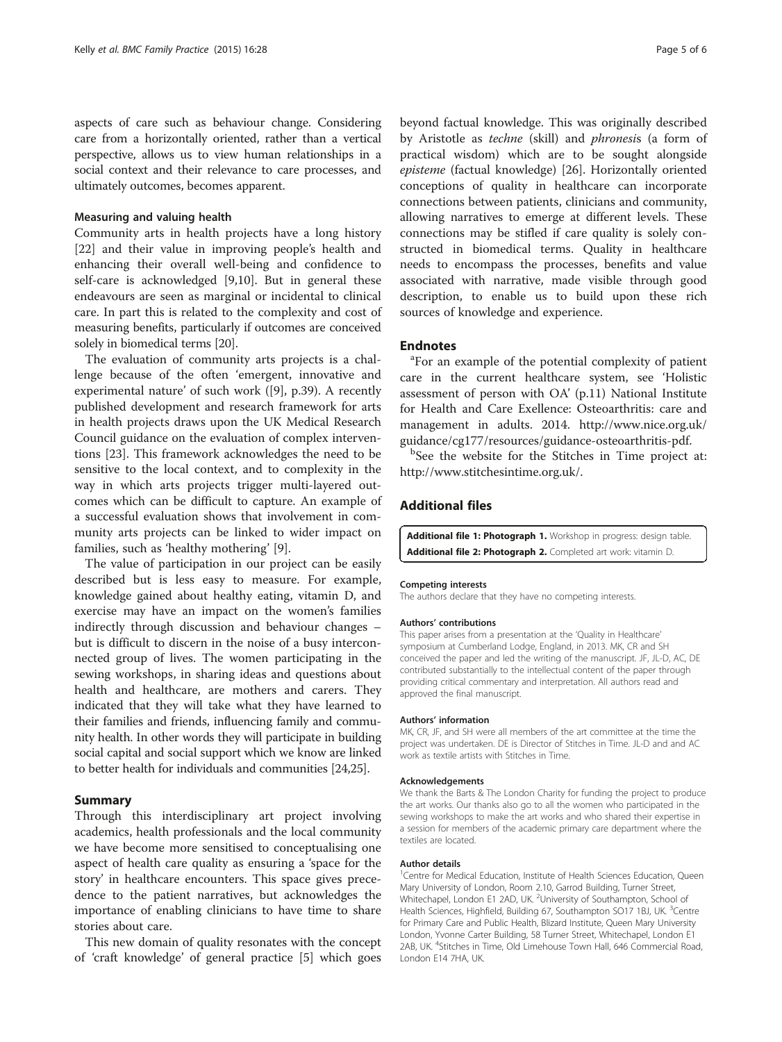<span id="page-4-0"></span>aspects of care such as behaviour change. Considering care from a horizontally oriented, rather than a vertical perspective, allows us to view human relationships in a social context and their relevance to care processes, and ultimately outcomes, becomes apparent.

#### Measuring and valuing health

Community arts in health projects have a long history [[22\]](#page-5-0) and their value in improving people's health and enhancing their overall well-being and confidence to self-care is acknowledged [[9,10\]](#page-5-0). But in general these endeavours are seen as marginal or incidental to clinical care. In part this is related to the complexity and cost of measuring benefits, particularly if outcomes are conceived solely in biomedical terms [[20](#page-5-0)].

The evaluation of community arts projects is a challenge because of the often 'emergent, innovative and experimental nature' of such work ([\[9](#page-5-0)], p.39). A recently published development and research framework for arts in health projects draws upon the UK Medical Research Council guidance on the evaluation of complex interventions [\[23](#page-5-0)]. This framework acknowledges the need to be sensitive to the local context, and to complexity in the way in which arts projects trigger multi-layered outcomes which can be difficult to capture. An example of a successful evaluation shows that involvement in community arts projects can be linked to wider impact on families, such as 'healthy mothering' [\[9](#page-5-0)].

The value of participation in our project can be easily described but is less easy to measure. For example, knowledge gained about healthy eating, vitamin D, and exercise may have an impact on the women's families indirectly through discussion and behaviour changes – but is difficult to discern in the noise of a busy interconnected group of lives. The women participating in the sewing workshops, in sharing ideas and questions about health and healthcare, are mothers and carers. They indicated that they will take what they have learned to their families and friends, influencing family and community health. In other words they will participate in building social capital and social support which we know are linked to better health for individuals and communities [\[24,25\]](#page-5-0).

#### Summary

Through this interdisciplinary art project involving academics, health professionals and the local community we have become more sensitised to conceptualising one aspect of health care quality as ensuring a 'space for the story' in healthcare encounters. This space gives precedence to the patient narratives, but acknowledges the importance of enabling clinicians to have time to share stories about care.

This new domain of quality resonates with the concept of 'craft knowledge' of general practice [[5\]](#page-5-0) which goes

beyond factual knowledge. This was originally described by Aristotle as techne (skill) and phronesis (a form of practical wisdom) which are to be sought alongside episteme (factual knowledge) [\[26\]](#page-5-0). Horizontally oriented conceptions of quality in healthcare can incorporate connections between patients, clinicians and community, allowing narratives to emerge at different levels. These connections may be stifled if care quality is solely constructed in biomedical terms. Quality in healthcare needs to encompass the processes, benefits and value associated with narrative, made visible through good description, to enable us to build upon these rich sources of knowledge and experience.

# **Endnotes**

For an example of the potential complexity of patient care in the current healthcare system, see 'Holistic assessment of person with OA' (p.11) National Institute for Health and Care Exellence: Osteoarthritis: care and management in adults. 2014. [http://www.nice.org.uk/](http://www.nice.org.uk/guidance/cg177/resources/guidance-osteoarthritis-pdf) [guidance/cg177/resources/guidance-osteoarthritis-pdf](http://www.nice.org.uk/guidance/cg177/resources/guidance-osteoarthritis-pdf).

<sup>b</sup>See the website for the Stitches in Time project at: [http://www.stitchesintime.org.uk/.](http://www.stitchesintime.org.uk/)

# Additional files

[Additional file 1: Photograph 1.](http://www.biomedcentral.com/content/supplementary/s12875-015-0233-x-s1.png) Workshop in progress: design table. [Additional file 2: Photograph 2.](http://www.biomedcentral.com/content/supplementary/s12875-015-0233-x-s2.png) Completed art work: vitamin D.

#### Competing interests

The authors declare that they have no competing interests.

#### Authors' contributions

This paper arises from a presentation at the 'Quality in Healthcare' symposium at Cumberland Lodge, England, in 2013. MK, CR and SH conceived the paper and led the writing of the manuscript. JF, JL-D, AC, DE contributed substantially to the intellectual content of the paper through providing critical commentary and interpretation. All authors read and approved the final manuscript.

#### Authors' information

MK, CR, JF, and SH were all members of the art committee at the time the project was undertaken. DE is Director of Stitches in Time. JL-D and and AC work as textile artists with Stitches in Time.

#### Acknowledgements

We thank the Barts & The London Charity for funding the project to produce the art works. Our thanks also go to all the women who participated in the sewing workshops to make the art works and who shared their expertise in a session for members of the academic primary care department where the textiles are located.

#### Author details

<sup>1</sup> Centre for Medical Education, Institute of Health Sciences Education, Queen Mary University of London, Room 2.10, Garrod Building, Turner Street, Whitechapel, London E1 2AD, UK. <sup>2</sup>University of Southampton, School of Health Sciences, Highfield, Building 67, Southampton SO17 1BJ, UK. <sup>3</sup>Centre for Primary Care and Public Health, Blizard Institute, Queen Mary University London, Yvonne Carter Building, 58 Turner Street, Whitechapel, London E1 2AB, UK. <sup>4</sup> Stitches in Time, Old Limehouse Town Hall, 646 Commercial Road, London E14 7HA, UK.